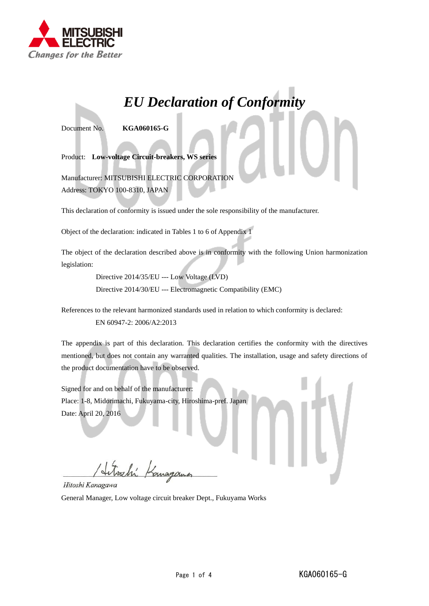

## *EU Declaration of Conformity*

Document No. **KGA060165-G**

Product: **Low-voltage Circuit-breakers, WS series**

Manufacturer: MITSUBISHI ELECTRIC CORPORATION Address: TOKYO 100-8310, JAPAN

This declaration of conformity is issued under the sole responsibility of the manufacturer.

Object of the declaration: indicated in Tables 1 to 6 of Appendix 1

The object of the declaration described above is in conformity with the following Union harmonization legislation:

> Directive 2014/35/EU --- Low Voltage (LVD) Directive 2014/30/EU --- Electromagnetic Compatibility (EMC)

References to the relevant harmonized standards used in relation to which conformity is declared:

EN 60947-2: 2006/A2:2013

The appendix is part of this declaration. This declaration certifies the conformity with the directives mentioned, but does not contain any warranted qualities. The installation, usage and safety directions of the product documentation have to be observed.

Signed for and on behalf of the manufacturer: Place: 1-8, Midorimachi, Fukuyama-city, Hiroshima-pref. Japan Date: April 20, 2016

Hitoshi Kanagawa

General Manager, Low voltage circuit breaker Dept., Fukuyama Works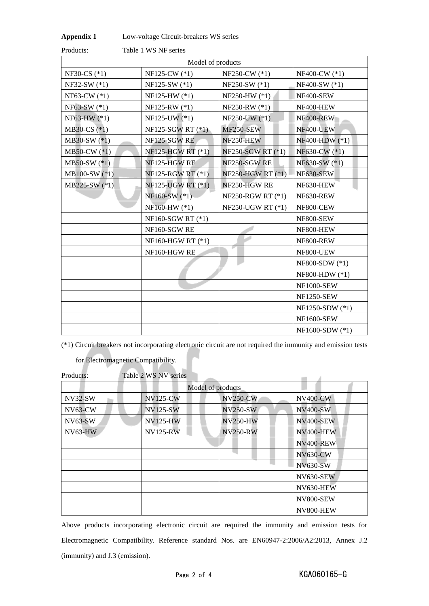| <b>Appendix 1</b> | Low-voltage Circuit-breakers WS series |  |
|-------------------|----------------------------------------|--|
|-------------------|----------------------------------------|--|

| Products:      | Table 1 WS NF series |                          |                   |
|----------------|----------------------|--------------------------|-------------------|
|                | Model of products    |                          |                   |
| NF30-CS $(*1)$ | NF125-CW (*1)        | $NF250-CW$ (*1)          | NF400-CW (*1)     |
| NF32-SW (*1)   | NF125-SW (*1)        | NF250-SW (*1)            | NF400-SW (*1)     |
| NF63-CW (*1)   | NF125-HW (*1)        | NF250-HW (*1)            | NF400-SEW         |
| NF63-SW (*1)   | NF125-RW (*1)        | NF250-RW (*1)            | NF400-HEW         |
| NF63-HW (*1)   | NF125-UW (*1)        | NF250-UW (*1)            | NF400-REW         |
| MB30-CS (*1)   | $NF125-SGW RT (*)$   | MF250-SEW                | NF400-UEW         |
| MB30-SW (*1)   | NF125-SGW RE         | NF250-HEW                | NF400-HDW (*1)    |
| $MB50-CW$ (*1) | NF125-HGW RT (*1)    | NF250-SGW RT (*1)        | NF630-CW (*1)     |
| $MB50-SW$ (*1) | NF125-HGW RE         | NF250-SGW RE             | NF630-SW (*1)     |
| MB100-SW (*1)  | NF125-RGW RT (*1)    | <b>NF250-HGW RT (*1)</b> | NF630-SEW         |
| MB225-SW (*1)  | NF125-UGW RT (*1)    | NF250-HGW RE             | NF630-HEW         |
|                | NF160-SW (*1)        | NF250-RGW RT (*1)        | NF630-REW         |
|                | NF160-HW (*1)        | NF250-UGW RT (*1)        | NF800-CEW         |
|                | NF160-SGW RT (*1)    |                          | NF800-SEW         |
|                | NF160-SGW RE         |                          | NF800-HEW         |
|                | NF160-HGW RT (*1)    |                          | NF800-REW         |
|                | NF160-HGW RE         |                          | NF800-UEW         |
|                |                      |                          | NF800-SDW (*1)    |
|                |                      |                          | NF800-HDW (*1)    |
|                |                      |                          | <b>NF1000-SEW</b> |
|                |                      |                          | <b>NF1250-SEW</b> |
|                |                      |                          | NF1250-SDW (*1)   |
|                |                      |                          | <b>NF1600-SEW</b> |
|                |                      |                          | NF1600-SDW (*1)   |

(\*1) Circuit breakers not incorporating electronic circuit are not required the immunity and emission tests

for Electromagnetic Compatibility.

| Products:         | Table 2 WS NV series |                 |                  |
|-------------------|----------------------|-----------------|------------------|
| Model of products |                      |                 |                  |
| $NV32-SW$         | <b>NV125-CW</b>      | <b>NV250-CW</b> | <b>NV400-CW</b>  |
| $NV63-CW$         | <b>NV125-SW</b>      | <b>NV250-SW</b> | <b>NV400-SW</b>  |
| $NV63-SW$         | <b>NV125-HW</b>      | <b>NV250-HW</b> | <b>NV400-SEW</b> |
| NV63-HW           | <b>NV125-RW</b>      | <b>NV250-RW</b> | NV400-HEW        |
|                   |                      |                 | NV400-REW        |
|                   |                      |                 | <b>NV630-CW</b>  |
|                   |                      |                 | <b>NV630-SW</b>  |
|                   |                      |                 | <b>NV630-SEW</b> |
|                   |                      |                 | NV630-HEW        |
|                   |                      |                 | <b>NV800-SEW</b> |
|                   |                      |                 | NV800-HEW        |

Above products incorporating electronic circuit are required the immunity and emission tests for Electromagnetic Compatibility. Reference standard Nos. are EN60947-2:2006/A2:2013, Annex J.2 (immunity) and J.3 (emission).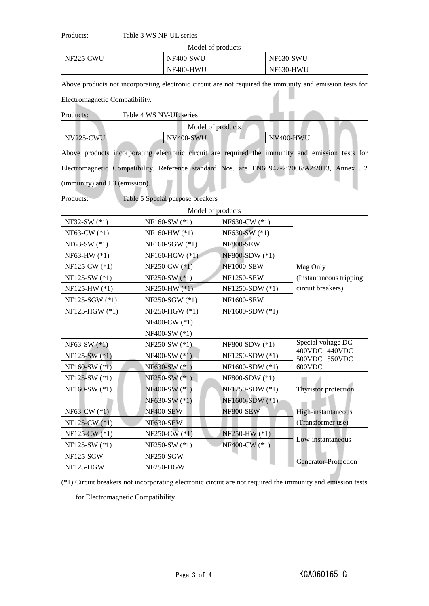## Products: Table 3 WS NF-UL series

| Model of products |           |           |
|-------------------|-----------|-----------|
| NF225-CWU         | NF400-SWU | NF630-SWU |
|                   | NF400-HWU | NF630-HWU |

Above products not incorporating electronic circuit are not required the immunity and emission tests for

Electromagnetic Compatibility.

| Products: | Table 4 WS NV-UL series |           |  |
|-----------|-------------------------|-----------|--|
|           | Model of products       |           |  |
| NV225-CWU | NV400-SWU               | NV400-HWU |  |
|           |                         |           |  |

Above products incorporating electronic circuit are required the immunity and emission tests for Electromagnetic Compatibility. Reference standard Nos. are EN60947-2:2006/A2:2013, Annex J.2 (immunity) and J.3 (emission).

| Products:       | Table 5 Special purpose breakers |                   |                                     |  |
|-----------------|----------------------------------|-------------------|-------------------------------------|--|
|                 |                                  | Model of products |                                     |  |
| NF32-SW (*1)    | NF160-SW (*1)                    | NF630-CW (*1)     |                                     |  |
| $NF63-CW$ (*1)  | NF160-HW (*1)                    | NF630-SW (*1)     |                                     |  |
| NF63-SW (*1)    | NF160-SGW (*1)                   | <b>NF800-SEW</b>  |                                     |  |
| NF63-HW (*1)    | NF160-HGW (*1)                   | NF800-SDW (*1)    |                                     |  |
| NF125-CW (*1)   | NF250-CW $(*1)$                  | <b>NF1000-SEW</b> | Mag Only                            |  |
| NF125-SW (*1)   | NF250-SW (*1)                    | <b>NF1250-SEW</b> | (Instantaneous tripping)            |  |
| NF125-HW (*1)   | NF250-HW $(*1)$                  | NF1250-SDW (*1)   | circuit breakers)                   |  |
| NF125-SGW (*1)  | NF250-SGW (*1)                   | <b>NF1600-SEW</b> |                                     |  |
| NF125-HGW (*1)  | NF250-HGW (*1)                   | NF1600-SDW (*1)   |                                     |  |
|                 | NF400-CW (*1)                    |                   |                                     |  |
|                 | NF400-SW (*1)                    |                   |                                     |  |
| $NF63-SW$ (*1)  | NF250-SW (*1)                    | NF800-SDW (*1)    | Special voltage DC<br>400VDC 440VDC |  |
| $NF125-SW$ (*1) | NF400-SW (*1)                    | NF1250-SDW (*1)   | 500VDC 550VDC                       |  |
| $NF160-SW$ (*1) | NF630-SW (*1)                    | NF1600-SDW (*1)   | 600VDC                              |  |
| NF125-SW (*1)   | NF250-SW (*1)                    | NF800-SDW (*1)    |                                     |  |
| NF160-SW (*1)   | NF400-SW (*1)                    | NF1250-SDW (*1)   | Thyristor protection                |  |
|                 | NF630-SW (*1)                    | NF1600-SDW (*1)   |                                     |  |
| $NF63-CW$ (*1)  | NF400-SEW                        | NF800-SEW         | High-instantaneous                  |  |
| NF125-CW (*1)   | NF630-SEW                        |                   | (Transformer use)                   |  |
| NF125-CW (*1)   | NF250-CW $(*1)$                  | NF250-HW (*1)     |                                     |  |
| NF125-SW (*1)   | NF250-SW (*1)                    | NF400-CW (*1)     | Low-instantaneous                   |  |
| NF125-SGW       | NF250-SGW                        |                   | <b>Generator-Protection</b>         |  |
| $NF125-HGW$     | NF250-HGW                        |                   |                                     |  |

(\*1) Circuit breakers not incorporating electronic circuit are not required the immunity and emission tests

for Electromagnetic Compatibility.